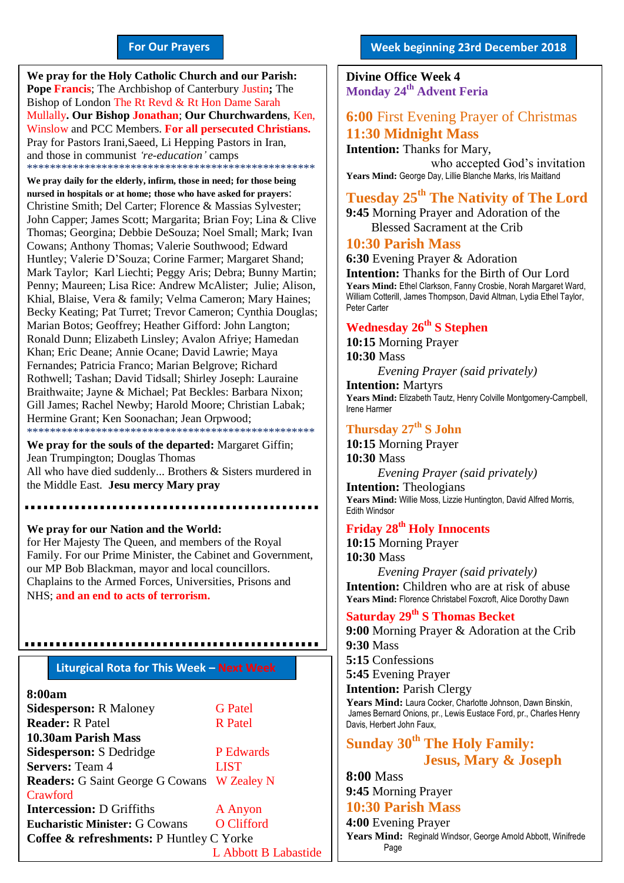#### **For Our Prayers**

arted Mullally**. Our Bishop Jonathan**; **Our Churchwardens**, Ken, **We pray for the Holy Catholic Church and our Parish: Pope Francis**; The Archbishop of Canterbury Justin**;** The Bishop of London The Rt Revd & Rt Hon Dame Sarah Winslow and PCC Members. **For all persecuted Christians.** Pray for Pastors Irani,Saeed, Li Hepping Pastors in Iran, and those in communist *'re-education'* camps \*\*\*\*\*\*\*\*\*\*\*\*\*\*\*\*\*\*\*\*\*\*\*\*\*\*\*\*\*\*\*\*\*\*\*\*\*\*\*\*\*\*\*\*\*\*\*\*\*\*

**We pray daily for the elderly, infirm, those in need; for those being nursed in hospitals or at home; those who have asked for prayers**: Christine Smith; Del Carter; Florence & Massias Sylvester; John Capper; James Scott; Margarita; Brian Foy; Lina & Clive Thomas; Georgina; Debbie DeSouza; Noel Small; Mark; Ivan Cowans; Anthony Thomas; Valerie Southwood; Edward Huntley; Valerie D'Souza; Corine Farmer; Margaret Shand; Mark Taylor; Karl Liechti; Peggy Aris; Debra; Bunny Martin; Penny; Maureen; Lisa Rice: Andrew McAlister; Julie; Alison, Khial, Blaise, Vera & family; Velma Cameron; Mary Haines; Becky Keating; Pat Turret; Trevor Cameron; Cynthia Douglas; Marian Botos; Geoffrey; Heather Gifford: John Langton; Ronald Dunn; Elizabeth Linsley; Avalon Afriye; Hamedan Khan; Eric Deane; Annie Ocane; David Lawrie; Maya Fernandes; Patricia Franco; Marian Belgrove; Richard Rothwell; Tashan; David Tidsall; Shirley Joseph: Lauraine Braithwaite; Jayne & Michael; Pat Beckles: Barbara Nixon; Gill James; Rachel Newby; Harold Moore; Christian Labak; Hermine Grant; Ken Soonachan; Jean Orpwood; \*\*\*\*\*\*\*\*\*\*\*\*\*\*\*\*\*\*\*\*\*\*\*\*\*\*\*\*

**We pray for the souls of the departed:** Margaret Giffin; Jean Trumpington; Douglas Thomas All who have died suddenly... Brothers & Sisters murdered in the Middle East. **Jesu mercy Mary pray**

#### **We pray for our Nation and the World:**

for Her Majesty The Queen, and members of the Royal Family. For our Prime Minister, the Cabinet and Government, our MP Bob Blackman, mayor and local councillors. Chaplains to the Armed Forces, Universities, Prisons and NHS; **and an end to acts of terrorism.**

**Liturgical Rota for This Week – Next Week**

,,,,,,,,,,,,,,,,,,,,,,,,,,,

#### **8:00am Sidesperson:** R Maloney **G Patel Reader:** R Patel R Patel **10.30am Parish Mass Sidesperson:** S Dedridge P Edwards **Servers:** Team 4 **LIST Readers:** G Saint George G Cowans W Zealey N Crawford **Intercession:** D Griffiths **A Anyon Eucharistic Minister:** G Cowans O Clifford **Coffee & refreshments:** P Huntley C Yorke L Abbott B Labastide

**Divine Office Week 4 Monday 24th Advent Feria**

#### **6:00** First Evening Prayer of Christmas **11:30 Midnight Mass**

**Intention:** Thanks for Mary, who accepted God's invitation **Years Mind:** George Day, Lillie Blanche Marks, Iris Maitland

#### **Tuesday 25th The Nativity of The Lord**

**9:45** Morning Prayer and Adoration of the Blessed Sacrament at the Crib

#### **10:30 Parish Mass**

**6:30** Evening Prayer & Adoration **Intention:** Thanks for the Birth of Our Lord **Years Mind:** Ethel Clarkson, Fanny Crosbie, Norah Margaret Ward, William Cotterill, James Thompson, David Altman, Lydia Ethel Taylor, Peter Carter

#### **Wednesday 26th S Stephen**

**10:15** Morning Prayer **10:30** Mass

*Evening Prayer (said privately)*

**Intention:** Martyrs **Years Mind:** Elizabeth Tautz, Henry Colville Montgomery-Campbell, Irene Harmer

#### **Thursday 27th S John**

**10:15** Morning Prayer **10:30** Mass

*Evening Prayer (said privately)* **Intention:** Theologians **Years Mind:** Willie Moss, Lizzie Huntington, David Alfred Morris, Edith Windsor

#### **Friday 28 th Holy Innocents**

**10:15** Morning Prayer **10:30** Mass

*Evening Prayer (said privately)* **Intention:** Children who are at risk of abuse **Years Mind:** Florence Christabel Foxcroft, Alice Dorothy Dawn

#### **Saturday 29 th S Thomas Becket**

**9:00** Morning Prayer & Adoration at the Crib **9:30** Mass **5:15** Confessions **5:45** Evening Prayer **Intention:** Parish Clergy Years Mind: Laura Cocker, Charlotte Johnson, Dawn Binskin,

James Bernard Onions, pr., Lewis Eustace Ford, pr., Charles Henry Davis, Herbert John Faux,

#### **Sunday 30 th The Holy Family: Jesus, Mary & Joseph**

**8:00** Mass **9:45** Morning Prayer

**10:30 Parish Mass 4:00** Evening Prayer

**Years Mind:** Reginald Windsor, George Arnold Abbott, Winifrede Page